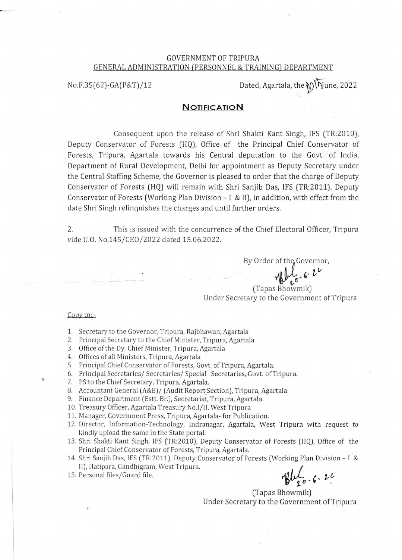### GOVERNMENT OF TRIPURA GENERAL ADMINISTRATION (PERSONNEL & TRAINING) DEPARTMENT

No.F.35(62)-GA(P&T)/12 Dated, Agartala, the  $\mathcal{D}(\sqrt{\sqrt{N}})$  Units 2022

# **NOTIFICATION**

Consequent upon the release of Shri Shakti Kant Singh, IFS (TR:2010), Deputy Conservator of Forests (HQ), Office of the Principal Chief Conservator of Forests, Tripura, Agartala towards his Central deputation to the Govt. of India, Department of Rural Development, Delhi for appointment as Deputy Secretary under the Central Staffing Scheme, the Governor is pleased to order that the charge of Deputy Conservator of Forests (HQ) will remain with Shri Sanjib Das, IFS (TR:2011), Deputy Conservator of Forests (Working Plan Division- I & II), in addition, with effect from the date Shri Singh relinquishes the charges and until further orders.

2. This is issued with the concurrence of the Chief Electoral Officer, Tripura vide U.O. No.145/CE0/2022 dated 15.06.2022.

> By Order of the Governor, r of the Governo<br>Which 6.  $v^{\nu}$

(Tapas Bhowmik) Under Secretary to the Government of Tripura

#### Copy to: -

...

- 1. Secretary to the Governor, Tripura, Rajbhawan, Agartala
- 2. Principal Secretary to the Chief Minister, Tripura, Agartala
- 3. Office of the Dy. Chief Minister, Tripura, Agartala
- 4. Offices of all Ministers, Tripura, Agartala
- 5. Principal Chief Conservator of Forests, Govt. of Tripura, Agartala.
- 6. Principal Secretaries/ Secretaries/ Special Secretaries, Govt. of Tripura.
- 7. PS to the Chief Secretary, Tripura, Agartala.
- 8. Accountant General (A&E)/ (Audit Report Section), Tripura, Agartala
- 9. Finance Department (Estt. Br.), Secretariat, Tripura, Agartala.
- 10. Treasury Officer, Agartala Treasury No.l/11, West Tripura
- 11. Manager, Government Press, Tripura, Agartala- for Publication.
- 12. Director, Information-Technology, Indranagar, Agartala, West Tripura with request to kindly upload the same in the State portal.
- 13. Shri Shakti Kant Singh, IFS (TR:2010), Deputy Conservator of Forests (HQ), Office of the Principal Chief Conservator of Forests, Tripura, Agartala.
- 14. Shri Sanjib Das, IFS (TR:2011), Deputy Conservator of Forests (Working Plan Division I & II), Hatipara, Gandhigram, West Tripura.
- 

15. Personal files/Guard file.  $\mathcal{U}_{g}$   $\mathcal{U}_{g}$   $\mathcal{U}_{g}$   $\mathcal{U}_{g}$   $\mathcal{U}_{g}$   $\mathcal{U}_{g}$   $\mathcal{U}_{g}$   $\mathcal{U}_{g}$   $\mathcal{U}_{g}$   $\mathcal{U}_{g}$   $\mathcal{U}_{g}$   $\mathcal{U}_{g}$   $\mathcal{U}_{g}$   $\mathcal{U}_{g}$   $\mathcal{U}_{g}$   $\mathcal{U}_{g}$   $\mathcal{U}_{g}$   $\math$ 

(Tapas Bhowmik) Under Secretary to the Government of Tripura